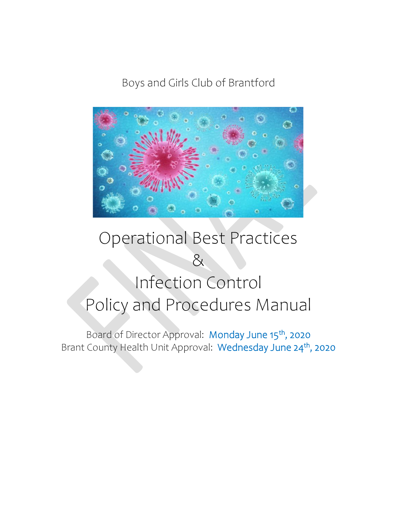Boys and Girls Club of Brantford



# Operational Best Practices & Infection Control Policy and Procedures Manual

Board of Director Approval: Monday June 15<sup>th</sup>, 2020 Brant County Health Unit Approval: Wednesday June 24<sup>th</sup>, 2020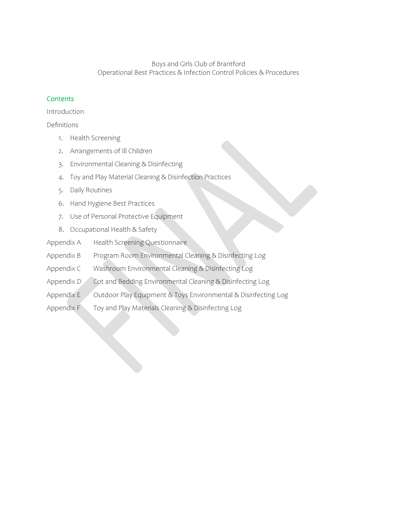#### **Contents**

Introduction

Definitions

- 1. Health Screening
- 2. Arrangements of Ill Children
- 3. Environmental Cleaning & Disinfecting
- 4. Toy and Play Material Cleaning & Disinfection Practices
- 5. Daily Routines
- 6. Hand Hygiene Best Practices
- 7. Use of Personal Protective Equipment
- 8. Occupational Health & Safety
- Appendix A Health Screening Questionnaire
- Appendix B Program Room Environmental Cleaning & Disinfecting Log
- Appendix C Washroom Environmental Cleaning & Disinfecting Log
- Appendix D Cot and Bedding Environmental Cleaning & Disinfecting Log
- Appendix E Outdoor Play Equipment & Toys Environmental & Disinfecting Log
- Appendix F Toy and Play Materials Cleaning & Disinfecting Log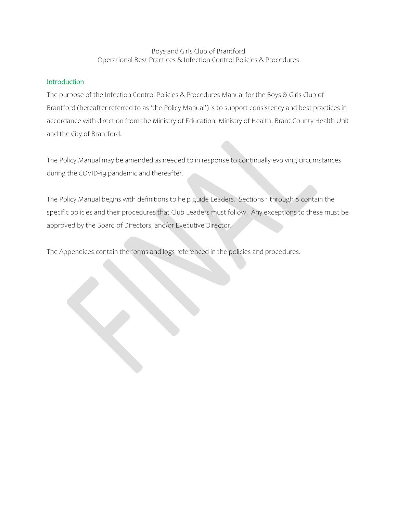## Introduction

The purpose of the Infection Control Policies & Procedures Manual for the Boys & Girls Club of Brantford (hereafter referred to as 'the Policy Manual') is to support consistency and best practices in accordance with direction from the Ministry of Education, Ministry of Health, Brant County Health Unit and the City of Brantford.

The Policy Manual may be amended as needed to in response to continually evolving circumstances during the COVID-19 pandemic and thereafter.

The Policy Manual begins with definitions to help guide Leaders. Sections 1 through 8 contain the specific policies and their procedures that Club Leaders must follow. Any exceptions to these must be approved by the Board of Directors, and/or Executive Director.

The Appendices contain the forms and logs referenced in the policies and procedures.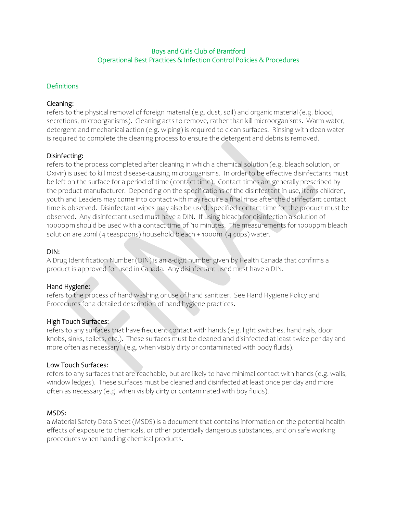#### Definitions

#### Cleaning:

refers to the physical removal of foreign material (e.g. dust, soil) and organic material (e.g. blood, secretions, microorganisms). Cleaning acts to remove, rather than kill microorganisms. Warm water, detergent and mechanical action (e.g. wiping) is required to clean surfaces. Rinsing with clean water is required to complete the cleaning process to ensure the detergent and debris is removed.

#### Disinfecting:

refers to the process completed after cleaning in which a chemical solution (e.g. bleach solution, or Oxivir) is used to kill most disease-causing microorganisms. In order to be effective disinfectants must be left on the surface for a period of time (contact time). Contact times are generally prescribed by the product manufacturer. Depending on the specifications of the disinfectant in use, items children, youth and Leaders may come into contact with may require a final rinse after the disinfectant contact time is observed. Disinfectant wipes may also be used; specified contact time for the product must be observed. Any disinfectant used must have a DIN. If using bleach for disinfection a solution of 1000ppm should be used with a contact time of `10 minutes. The measurements for 1000ppm bleach solution are 20ml (4 teaspoons) household bleach + 1000ml (4 cups) water.

#### DIN:

A Drug Identification Number (DIN) is an 8-digit number given by Health Canada that confirms a product is approved for used in Canada. Any disinfectant used must have a DIN.

#### Hand Hygiene:

refers to the process of hand washing or use of hand sanitizer. See Hand Hygiene Policy and Procedures for a detailed description of hand hygiene practices.

#### High Touch Surfaces:

refers to any surfaces that have frequent contact with hands (e.g. light switches, hand rails, door knobs, sinks, toilets, etc.). These surfaces must be cleaned and disinfected at least twice per day and more often as necessary. (e.g. when visibly dirty or contaminated with body fluids).

#### Low Touch Surfaces:

refers to any surfaces that are reachable, but are likely to have minimal contact with hands (e.g. walls, window ledges). These surfaces must be cleaned and disinfected at least once per day and more often as necessary (e.g. when visibly dirty or contaminated with boy fluids).

#### MSDS:

a Material Safety Data Sheet (MSDS) is a document that contains information on the potential health effects of exposure to chemicals, or other potentially dangerous substances, and on safe working procedures when handling chemical products.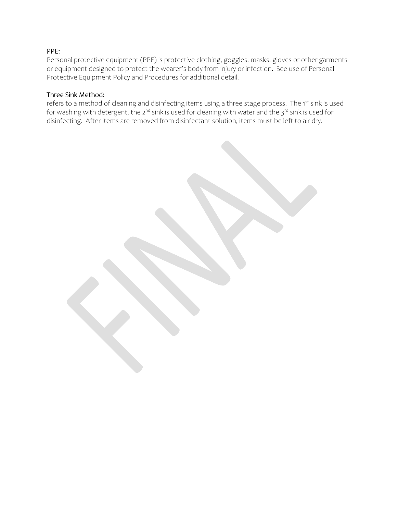## PPE:

Personal protective equipment (PPE) is protective clothing, goggles, masks, gloves or other garments or equipment designed to protect the wearer's body from injury or infection. See use of Personal Protective Equipment Policy and Procedures for additional detail.

#### Three Sink Method:

refers to a method of cleaning and disinfecting items using a three stage process. The 1st sink is used for washing with detergent, the 2<sup>nd</sup> sink is used for cleaning with water and the 3<sup>rd</sup> sink is used for disinfecting. After items are removed from disinfectant solution, items must be left to air dry.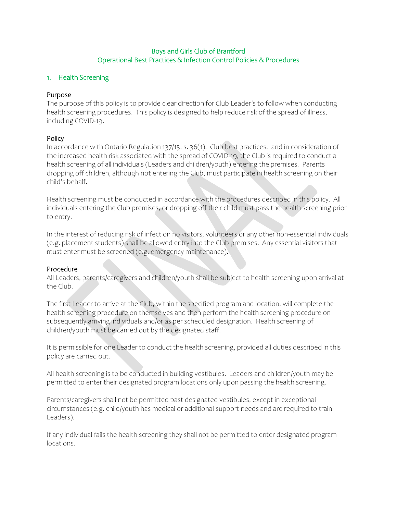#### 1. Health Screening

## Purpose

The purpose of this policy is to provide clear direction for Club Leader's to follow when conducting health screening procedures. This policy is designed to help reduce risk of the spread of illness, including COVID-19.

## Policy

In accordance with Ontario Regulation 137/15, s. 36(1), Club best practices, and in consideration of the increased health risk associated with the spread of COVID-19, the Club is required to conduct a health screening of all individuals (Leaders and children/youth) entering the premises. Parents dropping off children, although not entering the Club, must participate in health screening on their child's behalf.

Health screening must be conducted in accordance with the procedures described in this policy. All individuals entering the Club premises, or dropping off their child must pass the health screening prior to entry.

In the interest of reducing risk of infection no visitors, volunteers or any other non-essential individuals (e.g. placement students) shall be allowed entry into the Club premises. Any essential visitors that must enter must be screened (e.g. emergency maintenance).

#### Procedure

All Leaders, parents/caregivers and children/youth shall be subject to health screening upon arrival at the Club.

The first Leader to arrive at the Club, within the specified program and location, will complete the health screening procedure on themselves and then perform the health screening procedure on subsequently arriving individuals and/or as per scheduled designation. Health screening of children/youth must be carried out by the designated staff.

It is permissible for one Leader to conduct the health screening, provided all duties described in this policy are carried out.

All health screening is to be conducted in building vestibules. Leaders and children/youth may be permitted to enter their designated program locations only upon passing the health screening.

Parents/caregivers shall not be permitted past designated vestibules, except in exceptional circumstances (e.g. child/youth has medical or additional support needs and are required to train Leaders).

If any individual fails the health screening they shall not be permitted to enter designated program locations.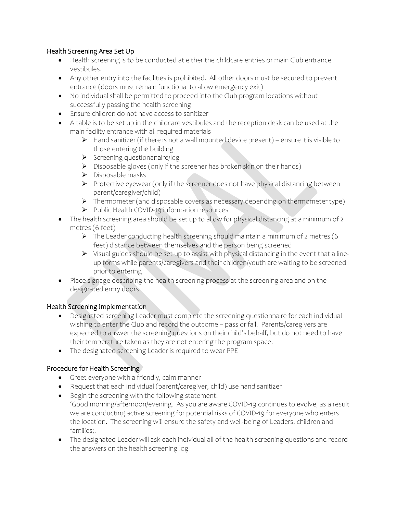## Health Screening Area Set Up

- Health screening is to be conducted at either the childcare entries or main Club entrance vestibules.
- Any other entry into the facilities is prohibited. All other doors must be secured to prevent entrance (doors must remain functional to allow emergency exit)
- No individual shall be permitted to proceed into the Club program locations without successfully passing the health screening
- Ensure children do not have access to sanitizer
- A table is to be set up in the childcare vestibules and the reception desk can be used at the main facility entrance with all required materials
	- ➢ Hand sanitizer (if there is not a wall mounted device present) ensure it is visible to those entering the building
	- ➢ Screening questionanaire/log
	- ➢ Disposable gloves (only if the screener has broken skin on their hands)
	- ➢ Disposable masks
	- ➢ Protective eyewear (only if the screener does not have physical distancing between parent/caregiver/child)
	- ➢ Thermometer (and disposable covers as necessary depending on thermometer type)
	- ➢ Public Health COVID-19 information resources
- The health screening area should be set up to allow for physical distancing at a minimum of 2 metres (6 feet)
	- ➢ The Leader conducting health screening should maintain a minimum of 2 metres (6 feet) distance between themselves and the person being screened
	- ➢ Visual guides should be set up to assist with physical distancing in the event that a lineup forms while parents/caregivers and their children/youth are waiting to be screened prior to entering
- Place signage describing the health screening process at the screening area and on the designated entry doors

## Health Screening Implementation

- Designated screening Leader must complete the screening questionnaire for each individual wishing to enter the Club and record the outcome – pass or fail. Parents/caregivers are expected to answer the screening questions on their child's behalf, but do not need to have their temperature taken as they are not entering the program space.
- The designated screening Leader is required to wear PPE

#### Procedure for Health Screening

- Greet everyone with a friendly, calm manner
- Request that each individual (parent/caregiver, child) use hand sanitizer
- Begin the screening with the following statement: 'Good morning/afternoon/evening. As you are aware COVID-19 continues to evolve, as a result we are conducting active screening for potential risks of COVID-19 for everyone who enters the location. The screening will ensure the safety and well-being of Leaders, children and families;.
- The designated Leader will ask each individual all of the health screening questions and record the answers on the health screening log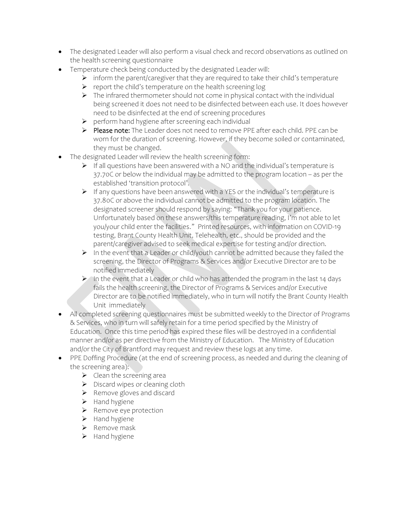- The designated Leader will also perform a visual check and record observations as outlined on the health screening questionnaire
- Temperature check being conducted by the designated Leader will:
	- ➢ inform the parent/caregiver that they are required to take their child's temperature
	- ➢ report the child's temperature on the health screening log
	- ➢ The infrared thermometer should not come in physical contact with the individual being screened it does not need to be disinfected between each use. It does however need to be disinfected at the end of screening procedures
	- ➢ perform hand hygiene after screening each individual
	- ➢ Please note: The Leader does not need to remove PPE after each child. PPE can be worn for the duration of screening. However, if they become soiled or contaminated, they must be changed.
- The designated Leader will review the health screening form:
	- ➢ If all questions have been answered with a NO and the individual's temperature is 37.70C or below the individual may be admitted to the program location – as per the established 'transition protocol'.
	- ➢ If any questions have been answered with a YES or the individual's temperature is 37.80C or above the individual cannot be admitted to the program location. The designated screener should respond by saying: "Thank you for your patience. Unfortunately based on these answers/this temperature reading, I'm not able to let you/your child enter the facilities." Printed resources, with information on COVID-19 testing, Brant County Health Unit, Telehealth, etc., should be provided and the parent/caregiver advised to seek medical expertise for testing and/or direction.
	- ➢ In the event that a Leader or child/youth cannot be admitted because they failed the screening, the Director of Programs & Services and/or Executive Director are to be notified immediately
	- ➢ In the event that a Leader or child who has attended the program in the last 14 days fails the health screening, the Director of Programs & Services and/or Executive Director are to be notified immediately, who in turn will notify the Brant County Health Unit immediately
- All completed screening questionnaires must be submitted weekly to the Director of Programs & Services, who in turn will safely retain for a time period specified by the Ministry of Education. Once this time period has expired these files will be destroyed in a confidential manner and/or as per directive from the Ministry of Education. The Ministry of Education and/or the City of Brantford may request and review these logs at any time.
- PPE Doffing Procedure (at the end of screening process, as needed and during the cleaning of the screening area):
	- $\blacktriangleright$  Clean the screening area
	- ➢ Discard wipes or cleaning cloth
	- ➢ Remove gloves and discard
	- ➢ Hand hygiene
	- ➢ Remove eye protection
	- ➢ Hand hygiene
	- ➢ Remove mask
	- ➢ Hand hygiene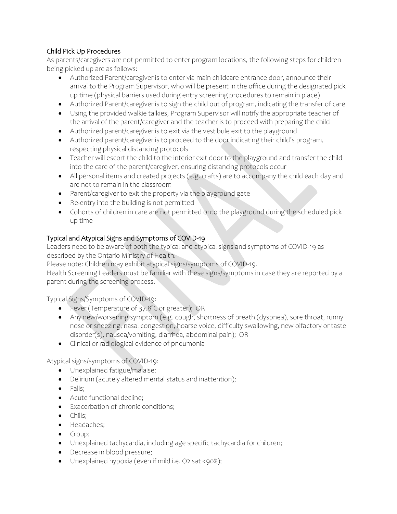# Child Pick Up Procedures

As parents/caregivers are not permitted to enter program locations, the following steps for children being picked up are as follows:

- Authorized Parent/caregiver is to enter via main childcare entrance door, announce their arrival to the Program Supervisor, who will be present in the office during the designated pick up time (physical barriers used during entry screening procedures to remain in place)
- Authorized Parent/caregiver is to sign the child out of program, indicating the transfer of care
- Using the provided walkie talkies, Program Supervisor will notify the appropriate teacher of the arrival of the parent/caregiver and the teacher is to proceed with preparing the child
- Authorized parent/caregiver is to exit via the vestibule exit to the playground
- Authorized parent/caregiver is to proceed to the door indicating their child's program, respecting physical distancing protocols
- Teacher will escort the child to the interior exit door to the playground and transfer the child into the care of the parent/caregiver, ensuring distancing protocols occur
- All personal items and created projects (e.g. crafts) are to accompany the child each day and are not to remain in the classroom
- Parent/caregiver to exit the property via the playground gate
- Re-entry into the building is not permitted
- Cohorts of children in care are not permitted onto the playground during the scheduled pick up time

# Typical and Atypical Signs and Symptoms of COVID-19

Leaders need to be aware of both the typical and atypical signs and symptoms of COVID-19 as described by the Ontario Ministry of Health.

Please note: Children may exhibit atypical signs/symptoms of COVID-19.

Health Screening Leaders must be familiar with these signs/symptoms in case they are reported by a parent during the screening process.

Typical Signs/Symptoms of COVID-19:

- Fever (Temperature of 37.8°C or greater); OR
- Any new/worsening symptom (e.g. cough, shortness of breath (dyspnea), sore throat, runny nose or sneezing, nasal congestion, hoarse voice, difficulty swallowing, new olfactory or taste disorder(s), nausea/vomiting, diarrhea, abdominal pain); OR
- Clinical or radiological evidence of pneumonia

Atypical signs/symptoms of COVID-19:

- Unexplained fatigue/malaise;
- Delirium (acutely altered mental status and inattention);
- Falls;
- Acute functional decline;
- Exacerbation of chronic conditions;
- Chills;
- Headaches;
- Croup;
- Unexplained tachycardia, including age specific tachycardia for children;
- Decrease in blood pressure;
- Unexplained hypoxia (even if mild i.e. O2 sat <90%);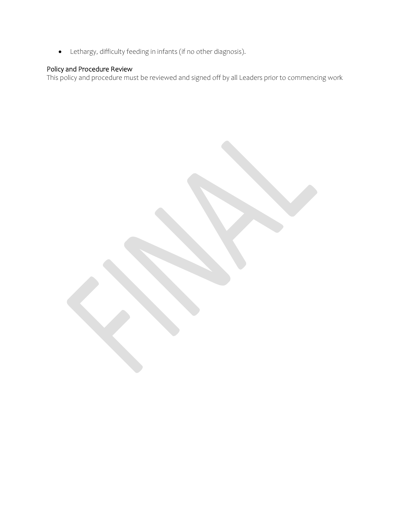• Lethargy, difficulty feeding in infants (if no other diagnosis).

#### Policy and Procedure Review

This policy and procedure must be reviewed and signed off by all Leaders prior to commencing work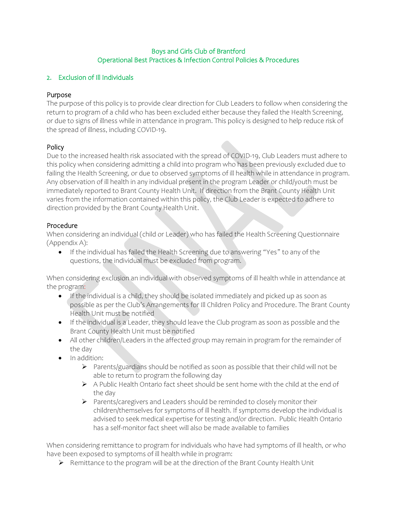## 2. Exclusion of Ill Individuals

## Purpose

The purpose of this policy is to provide clear direction for Club Leaders to follow when considering the return to program of a child who has been excluded either because they failed the Health Screening, or due to signs of illness while in attendance in program. This policy is designed to help reduce risk of the spread of illness, including COVID-19.

## Policy

Due to the increased health risk associated with the spread of COVID-19, Club Leaders must adhere to this policy when considering admitting a child into program who has been previously excluded due to failing the Health Screening, or due to observed symptoms of ill health while in attendance in program. Any observation of ill health in any individual present in the program Leader or child/youth must be immediately reported to Brant County Health Unit. If direction from the Brant County Health Unit varies from the information contained within this policy, the Club Leader is expected to adhere to direction provided by the Brant County Health Unit.

## Procedure

When considering an individual (child or Leader) who has failed the Health Screening Questionnaire (Appendix A):

• If the individual has failed the Health Screening due to answering "Yes" to any of the questions, the individual must be excluded from program.

When considering exclusion an individual with observed symptoms of ill health while in attendance at the program:

- If the individual is a child, they should be isolated immediately and picked up as soon as possible as per the Club's Arrangements for Ill Children Policy and Procedure. The Brant County Health Unit must be notified
- If the individual is a Leader, they should leave the Club program as soon as possible and the Brant County Health Unit must be notified
- All other children/Leaders in the affected group may remain in program for the remainder of the day
- In addition:
	- $\triangleright$  Parents/guardians should be notified as soon as possible that their child will not be able to return to program the following day
	- $\triangleright$  A Public Health Ontario fact sheet should be sent home with the child at the end of the day
	- ➢ Parents/caregivers and Leaders should be reminded to closely monitor their children/themselves for symptoms of ill health. If symptoms develop the individual is advised to seek medical expertise for testing and/or direction. Public Health Ontario has a self-monitor fact sheet will also be made available to families

When considering remittance to program for individuals who have had symptoms of ill health, or who have been exposed to symptoms of ill health while in program:

➢ Remittance to the program will be at the direction of the Brant County Health Unit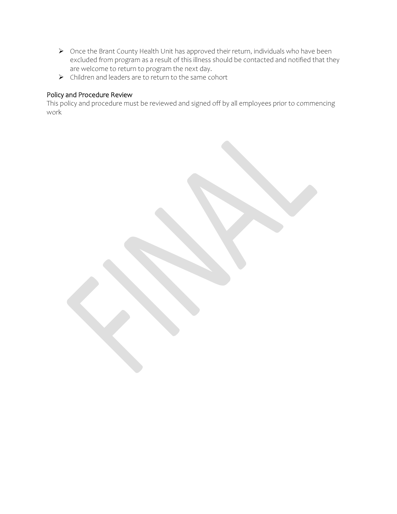- ➢ Once the Brant County Health Unit has approved their return, individuals who have been excluded from program as a result of this illness should be contacted and notified that they are welcome to return to program the next day.
- ➢ Children and leaders are to return to the same cohort

## Policy and Procedure Review

This policy and procedure must be reviewed and signed off by all employees prior to commencing work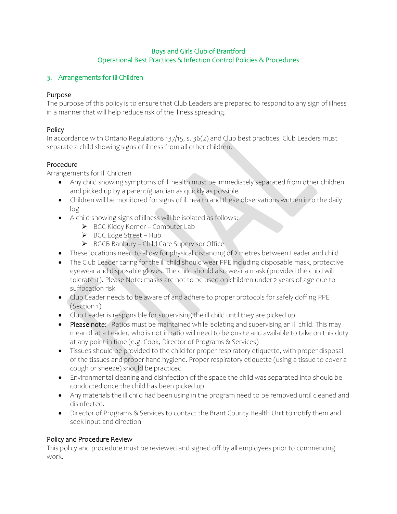## 3. Arrangements for Ill Children

## Purpose

The purpose of this policy is to ensure that Club Leaders are prepared to respond to any sign of illness in a manner that will help reduce risk of the illness spreading.

## Policy

In accordance with Ontario Regulations 137/15, s. 36(2) and Club best practices, Club Leaders must separate a child showing signs of illness from all other children.

## Procedure

Arrangements for Ill Children

- Any child showing symptoms of ill health must be immediately separated from other children and picked up by a parent/guardian as quickly as possible
- Children will be monitored for signs of ill health and these observations written into the daily log
- A child showing signs of illness will be isolated as follows:
	- ➢ BGC Kiddy Korner Computer Lab
	- ➢ BGC Edge Street Hub
	- ➢ BGCB Banbury Child Care Supervisor Office
- These locations need to allow for physical distancing of 2 metres between Leader and child
- The Club Leader caring for the ill child should wear PPE including disposable mask, protective eyewear and disposable gloves. The child should also wear a mask (provided the child will tolerate it). Please Note: masks are not to be used on children under 2 years of age due to suffocation risk
- Club Leader needs to be aware of and adhere to proper protocols for safely doffing PPE (Section 1)
- Club Leader is responsible for supervising the ill child until they are picked up
- Please note: Ratios must be maintained while isolating and supervising an ill child. This may mean that a Leader, who is not in ratio will need to be onsite and available to take on this duty at any point in time (e.g. Cook, Director of Programs & Services)
- Tissues should be provided to the child for proper respiratory etiquette, with proper disposal of the tissues and proper hand hygiene. Proper respiratory etiquette (using a tissue to cover a cough or sneeze) should be practiced
- Environmental cleaning and disinfection of the space the child was separated into should be conducted once the child has been picked up
- Any materials the ill child had been using in the program need to be removed until cleaned and disinfected.
- Director of Programs & Services to contact the Brant County Health Unit to notify them and seek input and direction

## Policy and Procedure Review

This policy and procedure must be reviewed and signed off by all employees prior to commencing work.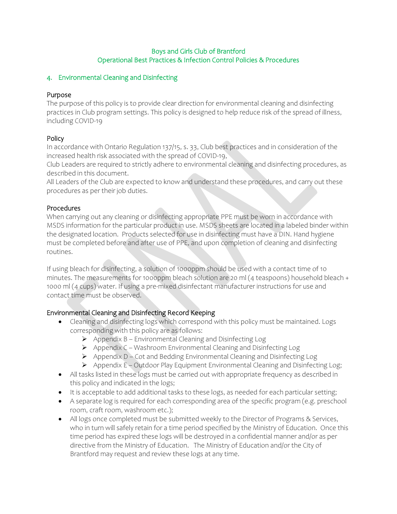## 4. Environmental Cleaning and Disinfecting

## Purpose

The purpose of this policy is to provide clear direction for environmental cleaning and disinfecting practices in Club program settings. This policy is designed to help reduce risk of the spread of illness, including COVID-19

## Policy

In accordance with Ontario Regulation 137/15, s. 33, Club best practices and in consideration of the increased health risk associated with the spread of COVID-19,

Club Leaders are required to strictly adhere to environmental cleaning and disinfecting procedures, as described in this document.

All Leaders of the Club are expected to know and understand these procedures, and carry out these procedures as per their job duties.

## Procedures

When carrying out any cleaning or disinfecting appropriate PPE must be worn in accordance with MSDS information for the particular product in use. MSDS sheets are located in a labeled binder within the designated location. Products selected for use in disinfecting must have a DIN. Hand hygiene must be completed before and after use of PPE, and upon completion of cleaning and disinfecting routines.

If using bleach for disinfecting, a solution of 1000ppm should be used with a contact time of 10 minutes. The measurements for 1000ppm bleach solution are 20 ml (4 teaspoons) household bleach + 1000 ml (4 cups) water. If using a pre-mixed disinfectant manufacturer instructions for use and contact time must be observed.

## Environmental Cleaning and Disinfecting Record Keeping

- Cleaning and disinfecting logs which correspond with this policy must be maintained. Logs corresponding with this policy are as follows:
	- ➢ Appendix B Environmental Cleaning and Disinfecting Log
	- ➢ Appendix C Washroom Environmental Cleaning and Disinfecting Log
	- ➢ Appendix D Cot and Bedding Environmental Cleaning and Disinfecting Log
	- ➢ Appendix E Outdoor Play Equipment Environmental Cleaning and Disinfecting Log;
- All tasks listed in these logs must be carried out with appropriate frequency as described in this policy and indicated in the logs;
- It is acceptable to add additional tasks to these logs, as needed for each particular setting;
- A separate log is required for each corresponding area of the specific program (e.g. preschool room, craft room, washroom etc.);
- All logs once completed must be submitted weekly to the Director of Programs & Services, who in turn will safely retain for a time period specified by the Ministry of Education. Once this time period has expired these logs will be destroyed in a confidential manner and/or as per directive from the Ministry of Education. The Ministry of Education and/or the City of Brantford may request and review these logs at any time.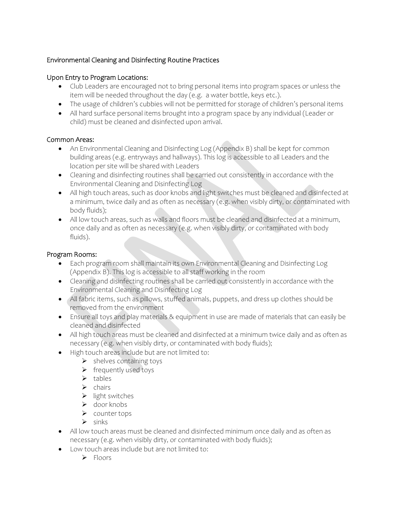## Environmental Cleaning and Disinfecting Routine Practices

## Upon Entry to Program Locations:

- Club Leaders are encouraged not to bring personal items into program spaces or unless the item will be needed throughout the day (e.g. a water bottle, keys etc.).
- The usage of children's cubbies will not be permitted for storage of children's personal items
- All hard surface personal items brought into a program space by any individual (Leader or child) must be cleaned and disinfected upon arrival.

## Common Areas:

- An Environmental Cleaning and Disinfecting Log (Appendix B) shall be kept for common building areas (e.g. entryways and hallways). This log is accessible to all Leaders and the location per site will be shared with Leaders
- Cleaning and disinfecting routines shall be carried out consistently in accordance with the Environmental Cleaning and Disinfecting Log
- All high touch areas, such as door knobs and light switches must be cleaned and disinfected at a minimum, twice daily and as often as necessary (e.g. when visibly dirty, or contaminated with body fluids);
- All low touch areas, such as walls and floors must be cleaned and disinfected at a minimum, once daily and as often as necessary (e.g. when visibly dirty, or contaminated with body fluids).

## Program Rooms:

- Each program room shall maintain its own Environmental Cleaning and Disinfecting Log (Appendix B). This log is accessible to all staff working in the room
- Cleaning and disinfecting routines shall be carried out consistently in accordance with the Environmental Cleaning and Disinfecting Log
- All fabric items, such as pillows, stuffed animals, puppets, and dress up clothes should be removed from the environment
- Ensure all toys and play materials & equipment in use are made of materials that can easily be cleaned and disinfected
- All high touch areas must be cleaned and disinfected at a minimum twice daily and as often as necessary (e.g. when visibly dirty, or contaminated with body fluids);
- High touch areas include but are not limited to:
	- ➢ shelves containing toys
		- ➢ frequently used toys
		- ➢ tables
		- ➢ chairs
		- ➢ light switches
		- ➢ door knobs
		- ➢ counter tops
		- ➢ sinks
- All low touch areas must be cleaned and disinfected minimum once daily and as often as necessary (e.g. when visibly dirty, or contaminated with body fluids);
- Low touch areas include but are not limited to:
	- ➢ Floors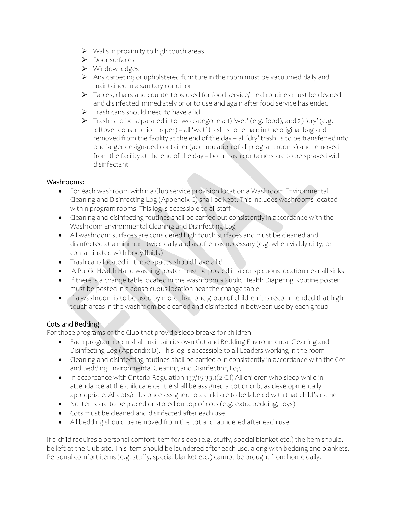- ➢ Walls in proximity to high touch areas
- ➢ Door surfaces
- ➢ Window ledges
- ➢ Any carpeting or upholstered furniture in the room must be vacuumed daily and maintained in a sanitary condition
- ➢ Tables, chairs and countertops used for food service/meal routines must be cleaned and disinfected immediately prior to use and again after food service has ended
- $\triangleright$  Trash cans should need to have a lid
- ➢ Trash is to be separated into two categories: 1) 'wet' (e.g. food), and 2) 'dry' (e.g. leftover construction paper) – all 'wet' trash is to remain in the original bag and removed from the facility at the end of the day – all 'dry' trash' is to be transferred into one larger designated container (accumulation of all program rooms) and removed from the facility at the end of the day – both trash containers are to be sprayed with disinfectant

## Washrooms:

- For each washroom within a Club service provision location a Washroom Environmental Cleaning and Disinfecting Log (Appendix C) shall be kept. This includes washrooms located within program rooms. This log is accessible to all staff
- Cleaning and disinfecting routines shall be carried out consistently in accordance with the Washroom Environmental Cleaning and Disinfecting Log
- All washroom surfaces are considered high touch surfaces and must be cleaned and disinfected at a minimum twice daily and as often as necessary (e.g. when visibly dirty, or contaminated with body fluids)
- Trash cans located in these spaces should have a lid
- A Public Health Hand washing poster must be posted in a conspicuous location near all sinks
- If there is a change table located in the washroom a Public Health Diapering Routine poster must be posted in a conspicuous location near the change table
- If a washroom is to be used by more than one group of children it is recommended that high touch areas in the washroom be cleaned and disinfected in between use by each group

# Cots and Bedding:

For those programs of the Club that provide sleep breaks for children:

- Each program room shall maintain its own Cot and Bedding Environmental Cleaning and Disinfecting Log (Appendix D). This log is accessible to all Leaders working in the room
- Cleaning and disinfecting routines shall be carried out consistently in accordance with the Cot and Bedding Environmental Cleaning and Disinfecting Log
- In accordance with Ontario Regulation 137/15 33.1(2.C.i) All children who sleep while in attendance at the childcare centre shall be assigned a cot or crib, as developmentally appropriate. All cots/cribs once assigned to a child are to be labeled with that child's name
- No items are to be placed or stored on top of cots (e.g. extra bedding, toys)
- Cots must be cleaned and disinfected after each use
- All bedding should be removed from the cot and laundered after each use

If a child requires a personal comfort item for sleep (e.g. stuffy, special blanket etc.) the item should, be left at the Club site. This item should be laundered after each use, along with bedding and blankets. Personal comfort items (e.g. stuffy, special blanket etc.) cannot be brought from home daily.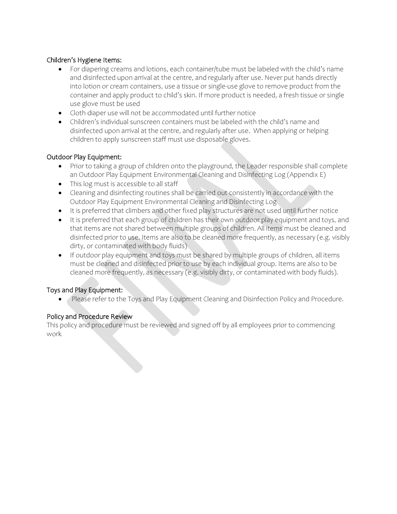## Children's Hygiene Items:

- For diapering creams and lotions, each container/tube must be labeled with the child's name and disinfected upon arrival at the centre, and regularly after use. Never put hands directly into lotion or cream containers, use a tissue or single-use glove to remove product from the container and apply product to child's skin. If more product is needed, a fresh tissue or single use glove must be used
- Cloth diaper use will not be accommodated until further notice
- Children's individual sunscreen containers must be labeled with the child's name and disinfected upon arrival at the centre, and regularly after use. When applying or helping children to apply sunscreen staff must use disposable gloves.

## Outdoor Play Equipment:

- Prior to taking a group of children onto the playground, the Leader responsible shall complete an Outdoor Play Equipment Environmental Cleaning and Disinfecting Log (Appendix E)
- This log must is accessible to all staff
- Cleaning and disinfecting routines shall be carried out consistently in accordance with the Outdoor Play Equipment Environmental Cleaning and Disinfecting Log
- It is preferred that climbers and other fixed play structures are not used until further notice
- It is preferred that each group of children has their own outdoor play equipment and toys, and that items are not shared between multiple groups of children. All items must be cleaned and disinfected prior to use. Items are also to be cleaned more frequently, as necessary (e.g. visibly dirty, or contaminated with body fluids)
- If outdoor play equipment and toys must be shared by multiple groups of children, all items must be cleaned and disinfected prior to use by each individual group. Items are also to be cleaned more frequently, as necessary (e.g. visibly dirty, or contaminated with body fluids).

#### Toys and Play Equipment:

• Please refer to the Toys and Play Equipment Cleaning and Disinfection Policy and Procedure.

#### Policy and Procedure Review

This policy and procedure must be reviewed and signed off by all employees prior to commencing work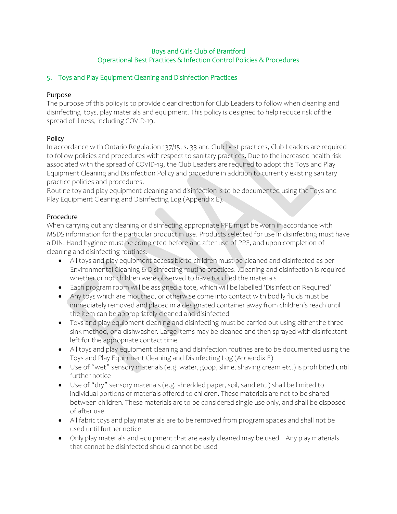## 5. Toys and Play Equipment Cleaning and Disinfection Practices

## Purpose

The purpose of this policy is to provide clear direction for Club Leaders to follow when cleaning and disinfecting toys, play materials and equipment. This policy is designed to help reduce risk of the spread of illness, including COVID-19.

## Policy

In accordance with Ontario Regulation 137/15, s. 33 and Club best practices, Club Leaders are required to follow policies and procedures with respect to sanitary practices. Due to the increased health risk associated with the spread of COVID-19, the Club Leaders are required to adopt this Toys and Play Equipment Cleaning and Disinfection Policy and procedure in addition to currently existing sanitary practice policies and procedures.

Routine toy and play equipment cleaning and disinfection is to be documented using the Toys and Play Equipment Cleaning and Disinfecting Log (Appendix E).

#### Procedure

When carrying out any cleaning or disinfecting appropriate PPE must be worn in accordance with MSDS information for the particular product in use. Products selected for use in disinfecting must have a DIN. Hand hygiene must be completed before and after use of PPE, and upon completion of cleaning and disinfecting routines.

- All toys and play equipment accessible to children must be cleaned and disinfected as per Environmental Cleaning & Disinfecting routine practices. .Cleaning and disinfection is required whether or not children were observed to have touched the materials
- Each program room will be assigned a tote, which will be labelled 'Disinfection Required'
- Any toys which are mouthed, or otherwise come into contact with bodily fluids must be immediately removed and placed in a designated container away from children's reach until the item can be appropriately cleaned and disinfected
- Toys and play equipment cleaning and disinfecting must be carried out using either the three sink method, or a dishwasher. Large items may be cleaned and then sprayed with disinfectant left for the appropriate contact time
- All toys and play equipment cleaning and disinfection routines are to be documented using the Toys and Play Equipment Cleaning and Disinfecting Log (Appendix E)
- Use of "wet" sensory materials (e.g. water, goop, slime, shaving cream etc.) is prohibited until further notice
- Use of "dry" sensory materials (e.g. shredded paper, soil, sand etc.) shall be limited to individual portions of materials offered to children. These materials are not to be shared between children. These materials are to be considered single use only, and shall be disposed of after use
- All fabric toys and play materials are to be removed from program spaces and shall not be used until further notice
- Only play materials and equipment that are easily cleaned may be used. Any play materials that cannot be disinfected should cannot be used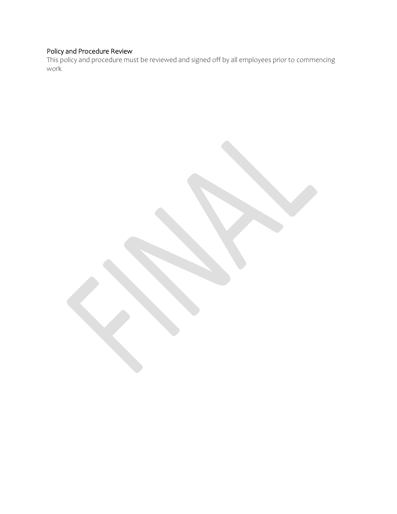#### Policy and Procedure Review

This policy and procedure must be reviewed and signed off by all employees prior to commencing work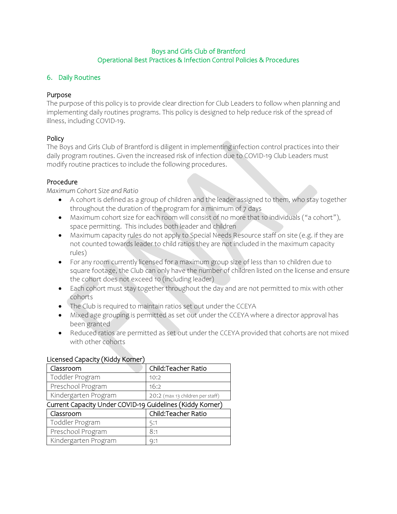## 6. Daily Routines

## Purpose

The purpose of this policy is to provide clear direction for Club Leaders to follow when planning and implementing daily routines programs. This policy is designed to help reduce risk of the spread of illness, including COVID-19.

## Policy

The Boys and Girls Club of Brantford is diligent in implementing infection control practices into their daily program routines. Given the increased risk of infection due to COVID-19 Club Leaders must modify routine practices to include the following procedures.

## Procedure

*Maximum Cohort Size and Ratio*

- A cohort is defined as a group of children and the leader assigned to them, who stay together throughout the duration of the program for a minimum of 7 days
- Maximum cohort size for each room will consist of no more that 10 individuals ("a cohort"), space permitting. This includes both leader and children
- Maximum capacity rules do not apply to Special Needs Resource staff on site (e.g. if they are not counted towards leader to child ratios they are not included in the maximum capacity rules)
- For any room currently licensed for a maximum group size of less than 10 children due to square footage, the Club can only have the number of children listed on the license and ensure the cohort does not exceed 10 (including leader)
- Each cohort must stay together throughout the day and are not permitted to mix with other cohorts
- The Club is required to maintain ratios set out under the CCEYA
- Mixed age grouping is permitted as set out under the CCEYA where a director approval has been granted
- Reduced ratios are permitted as set out under the CCEYA provided that cohorts are not mixed with other cohorts

| Classroom                                                 | Child:Teacher Ratio              |  |  |  |  |
|-----------------------------------------------------------|----------------------------------|--|--|--|--|
| Toddler Program                                           | 10:2                             |  |  |  |  |
| Preschool Program                                         | 16:2                             |  |  |  |  |
| Kindergarten Program                                      | 20:2 (max 13 children per staff) |  |  |  |  |
| Current Capacity Under COVID-19 Guidelines (Kiddy Korner) |                                  |  |  |  |  |
| Classroom                                                 | Child: Teacher Ratio             |  |  |  |  |
| Toddler Program                                           | 5:1                              |  |  |  |  |
| Preschool Program                                         | 8:1                              |  |  |  |  |
| Kindergarten Program                                      | Q:1                              |  |  |  |  |

#### Licensed Capacity (Kiddy Korner)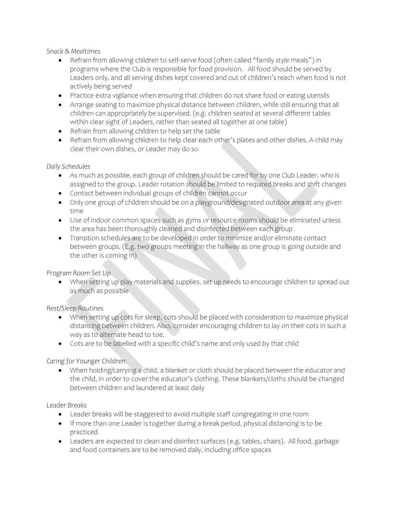*Snack & Mealtimes* 

- Refrain from allowing children to self-serve food (often called "family style meals") in programs where the Club is responsible for food provision. All food should be served by Leaders only, and all serving dishes kept covered and out of children's reach when food is not actively being served
- Practice extra vigilance when ensuring that children do not share food or eating utensils
- Arrange seating to maximize physical distance between children, while still ensuring that all children can appropriately be supervised. (e.g. children seated at several different tables within clear sight of Leaders, rather than seated all together at one table)
- Refrain from allowing children to help set the table
- Refrain from allowing children to help clear each other's plates and other dishes. A child may clear their own dishes, or Leader may do so

## *Daily Schedules*

- As much as possible, each group of children should be cared for by one Club Leader, who is assigned to the group. Leader rotation should be limited to required breaks and shift changes
- Contact between individual groups of children cannot occur
- Only one group of children should be on a playground/designated outdoor area at any given time
- Use of indoor common spaces such as gyms or resource rooms should be eliminated unless the area has been thoroughly cleaned and disinfected between each group
- Transition schedules are to be developed in order to minimize and/or eliminate contact between groups. (E.g. two groups meeting in the hallway as one group is going outside and the other is coming in)

*Program Room Set Up* 

• When setting up play materials and supplies, set up needs to encourage children to spread out as much as possible

## *Rest/Sleep Routines*

- When setting up cots for sleep, cots should be placed with consideration to maximize physical distancing between children. Also, consider encouraging children to lay on their cots in such a way as to alternate head to toe.
- Cots are to be labelled with a specific child's name and only used by that child

## *Caring for Younger Children*

• When holding/carrying a child, a blanket or cloth should be placed between the educator and the child, in order to cover the educator's clothing. These blankets/cloths should be changed between children and laundered at least daily

#### *Leader Breaks*

- Leader breaks will be staggered to avoid multiple staff congregating in one room
- If more than one Leader is together during a break period, physical distancing is to be practiced
- Leaders are expected to clean and disinfect surfaces (e.g. tables, chairs). All food, garbage and food containers are to be removed daily, including office spaces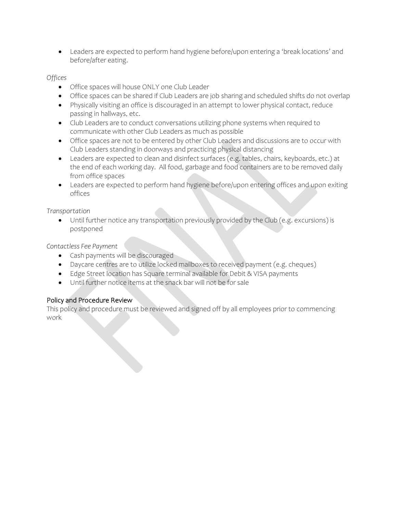• Leaders are expected to perform hand hygiene before/upon entering a 'break locations' and before/after eating.

## *Offices*

- Office spaces will house ONLY one Club Leader
- Office spaces can be shared if Club Leaders are job sharing and scheduled shifts do not overlap
- Physically visiting an office is discouraged in an attempt to lower physical contact, reduce passing in hallways, etc.
- Club Leaders are to conduct conversations utilizing phone systems when required to communicate with other Club Leaders as much as possible
- Office spaces are not to be entered by other Club Leaders and discussions are to occur with Club Leaders standing in doorways and practicing physical distancing
- Leaders are expected to clean and disinfect surfaces (e.g. tables, chairs, keyboards, etc.) at the end of each working day. All food, garbage and food containers are to be removed daily from office spaces
- Leaders are expected to perform hand hygiene before/upon entering offices and upon exiting offices

*Transportation*

• Until further notice any transportation previously provided by the Club (e.g. excursions) is postponed

*Contactless Fee Payment*

- Cash payments will be discouraged
- Daycare centres are to utilize locked mailboxes to received payment (e.g. cheques)
- Edge Street location has Square terminal available for Debit & VISA payments
- Until further notice items at the snack bar will not be for sale

## Policy and Procedure Review

This policy and procedure must be reviewed and signed off by all employees prior to commencing work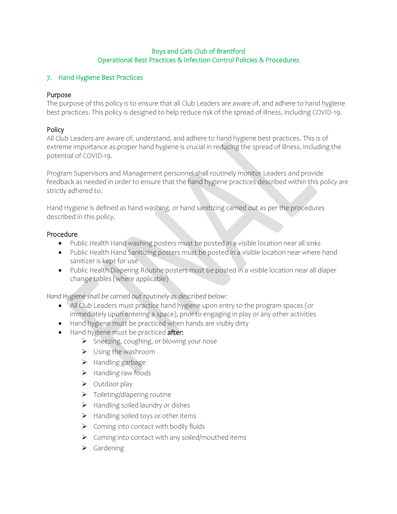## 7. Hand Hygiene Best Practices

#### Purpose

The purpose of this policy is to ensure that all Club Leaders are aware of, and adhere to hand hygiene best practices. This policy is designed to help reduce risk of the spread of illness, including COVID-19.

## Policy

All Club Leaders are aware of, understand, and adhere to hand hygiene best practices. This is of extreme importance as proper hand hygiene is crucial in reducing the spread of illness, including the potential of COVID-19.

Program Supervisors and Management personnel shall routinely monitor Leaders and provide feedback as needed in order to ensure that the hand hygiene practices described within this policy are strictly adhered to.

Hand Hygiene is defined as hand washing, or hand sanitizing carried out as per the procedures described in this policy.

#### Procedure

- Public Health Hand washing posters must be posted in a visible location near all sinks
- Public Health Hand Sanitizing posters must be posted in a visible location near where hand sanitizer is kept for use
- Public Health Diapering Routine posters must be posted in a visible location near all diaper change tables (where applicable)

*Hand Hygiene shall be carried out routinely as described below*:

- All Club Leaders must practice hand hygiene upon entry to the program spaces (or immediately upon entering a space), prior to engaging in play or any other activities
- Hand hygiene must be practiced when hands are visibly dirty
- Hand hygiene must be practiced after:
	- ➢ Sneezing, coughing, or blowing your nose
	- ➢ Using the washroom
	- ➢ Handling garbage
	- ➢ Handling raw foods
	- ➢ Outdoor play
	- ➢ Toileting/diapering routine
	- ➢ Handling soiled laundry or dishes
	- $\triangleright$  Handling soiled toys or other items
	- $\triangleright$  Coming into contact with bodily fluids
	- ➢ Coming into contact with any soiled/mouthed items
	- ➢ Gardening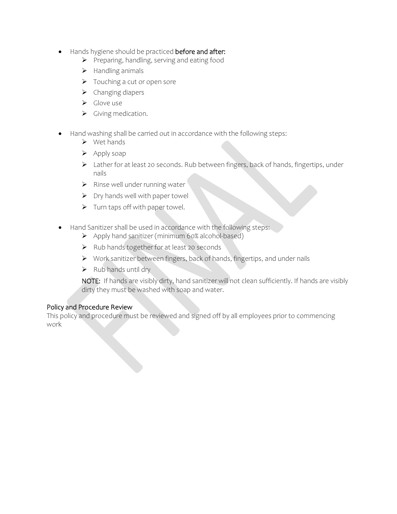- Hands hygiene should be practiced before and after:
	- ➢ Preparing, handling, serving and eating food
	- ➢ Handling animals
	- ➢ Touching a cut or open sore
	- ➢ Changing diapers
	- ➢ Glove use
	- ➢ Giving medication.
- Hand washing shall be carried out in accordance with the following steps:
	- ➢ Wet hands
	- ➢ Apply soap
	- ➢ Lather for at least 20 seconds. Rub between fingers, back of hands, fingertips, under nails
	- ➢ Rinse well under running water
	- $\triangleright$  Dry hands well with paper towel
	- ➢ Turn taps off with paper towel.
- Hand Sanitizer shall be used in accordance with the following steps:
	- ➢ Apply hand sanitizer (minimum 60% alcohol-based)
	- ➢ Rub hands together for at least 20 seconds
	- ➢ Work sanitizer between fingers, back of hands, fingertips, and under nails
	- $\triangleright$  Rub hands until dry

NOTE: If hands are visibly dirty, hand sanitizer will not clean sufficiently. If hands are visibly dirty they must be washed with soap and water.

#### Policy and Procedure Review

This policy and procedure must be reviewed and signed off by all employees prior to commencing work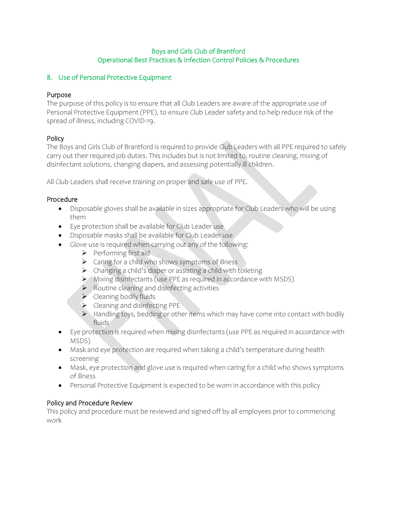## 8. Use of Personal Protective Equipment

## Purpose

The purpose of this policy is to ensure that all Club Leaders are aware of the appropriate use of Personal Protective Equipment (PPE), to ensure Club Leader safety and to help reduce risk of the spread of illness, including COVID-19.

## Policy

The Boys and Girls Club of Brantford is required to provide Club Leaders with all PPE required to safely carry out their required job duties. This includes but is not limited to, routine cleaning, mixing of disinfectant solutions, changing diapers, and assessing potentially ill children.

All Club Leaders shall receive training on proper and safe use of PPE.

## Procedure

- Disposable gloves shall be available in sizes appropriate for Club Leaders who will be using them
- Eye protection shall be available for Club Leader use
- Disposable masks shall be available for Club Leader use
- Glove use is required when carrying out any of the following:
	- ➢ Performing first aid
	- ➢ Caring for a child who shows symptoms of illness
	- ➢ Changing a child's diaper or assisting a child with toileting
	- ➢ Mixing disinfectants (use PPE as required in accordance with MSDS)
	- ➢ Routine cleaning and disinfecting activities
	- ➢ Cleaning bodily fluids
	- ➢ Cleaning and disinfecting PPE
	- ➢ Handling toys, bedding or other items which may have come into contact with bodily fluids
- Eye protection is required when mixing disinfectants (use PPE as required in accordance with MSDS)
- Mask and eye protection are required when taking a child's temperature during health screening
- Mask, eye protection and glove use is required when caring for a child who shows symptoms of illness
- Personal Protective Equipment is expected to be worn in accordance with this policy

## Policy and Procedure Review

This policy and procedure must be reviewed and signed off by all employees prior to commencing work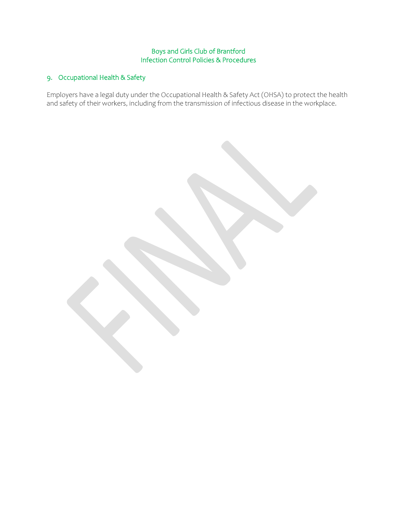## Boys and Girls Club of Brantford Infection Control Policies & Procedures

# 9. Occupational Health & Safety

Employers have a legal duty under the Occupational Health & Safety Act (OHSA) to protect the health and safety of their workers, including from the transmission of infectious disease in the workplace.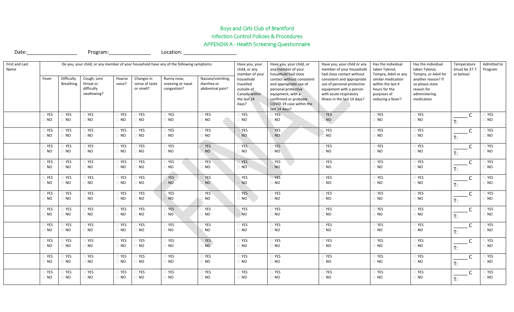# Boys and Girls Club of Brantford Infection Control Policies & Procedures APPENDIX A - Health Screening Questionnaire

Date:\_\_\_\_\_\_\_\_\_\_\_\_\_\_\_\_\_\_ Program:\_\_\_\_\_\_\_\_\_\_\_\_\_\_\_ Location: \_\_\_\_\_\_\_\_\_\_\_\_\_\_\_\_\_\_\_

| First and Last<br>Name | Do you, your child, or any member of your household have any of the following symptoms:<br>Cough, sore<br>Changes in<br>Hoarse<br>Runny nose, |                          |                                                                                                                                                                                                                                                                                         |                  | Have you, your<br>child, or any<br>member of your                             | Have you, your child, or<br>any member of your<br>household had close                                                                                                  | Have you, your child or any<br>member of your household<br>had close contact without                                                          | Has the individual<br>taken Tylenol,<br>Tempra, Advil or any                                 | Has the individual<br>taken Tylenol,<br>Tempra, or Advil for                       | Temperature<br>(must be 37.7<br>or below) | Admitted to<br>Program |                  |              |                             |
|------------------------|-----------------------------------------------------------------------------------------------------------------------------------------------|--------------------------|-----------------------------------------------------------------------------------------------------------------------------------------------------------------------------------------------------------------------------------------------------------------------------------------|------------------|-------------------------------------------------------------------------------|------------------------------------------------------------------------------------------------------------------------------------------------------------------------|-----------------------------------------------------------------------------------------------------------------------------------------------|----------------------------------------------------------------------------------------------|------------------------------------------------------------------------------------|-------------------------------------------|------------------------|------------------|--------------|-----------------------------|
|                        | Fever                                                                                                                                         | Difficulty<br>Breathing  | voice?<br>throat or<br>sense of taste<br>sneezing or nasal<br>diarrhea or<br>difficulty<br>or smell?<br>abdominal pain?<br>congestion?<br>swallowing?<br>$\Box$ YES<br>TYES<br>$\Box$ YES<br>$\Box$ YES<br>□ YES<br>$\Box$ NO<br>$\Box$ NO<br>$\Box$ NO<br>$\Box$ NO<br>$\hfill\Box$ NO | Nausea/vomiting, | household<br>travelled<br>outside of<br>Canada within<br>the last 14<br>days? | contact without consistent<br>and appropriate use of<br>personal protective<br>equipment, with a<br>confirmed or probable<br>COVID-19 case within the<br>last 14 days? | consistent and appropriate<br>use of personal protective<br>equipment with a person<br>with acute respiratory<br>illness in the last 14 days? | similar medication<br>within the last 4<br>hours for the<br>purposes of<br>reducing a fever? | another reason? If<br>so please state<br>reason for<br>administering<br>medication |                                           |                        |                  |              |                             |
|                        | T YES                                                                                                                                         | <b>TYES</b><br>$\Box$ NO |                                                                                                                                                                                                                                                                                         |                  |                                                                               |                                                                                                                                                                        |                                                                                                                                               | $\Box$ YES                                                                                   | $\Box$ YES                                                                         | <b>YES</b>                                | $\Box$ YES             | $\square$ YES    | C            | TYES<br>$\Box$ NO           |
|                        | $\Box$ NO                                                                                                                                     |                          |                                                                                                                                                                                                                                                                                         |                  |                                                                               |                                                                                                                                                                        |                                                                                                                                               | $\Box$ NO                                                                                    | $\Box$ NO                                                                          | NO                                        | $\Box$ NO              | $\Box$ NO        | T:           |                             |
|                        | $\Box$ YES                                                                                                                                    | TYES                     | $\Box$ YES                                                                                                                                                                                                                                                                              | $\Box$ YES       | <b>YES</b>                                                                    | $\Box$ YES                                                                                                                                                             | $\Box$ YES                                                                                                                                    | $\Box$ YES                                                                                   | <b>TYES</b>                                                                        | <b>YES</b>                                | $\Box$ YES             | $\Box$ YES       | C            | YES                         |
|                        | $\Box$ NO                                                                                                                                     | $\Box$ NO                | $\Box$ NO                                                                                                                                                                                                                                                                               | $\Box$ NO        | $\Box$ NO                                                                     | $\Box$ NO                                                                                                                                                              | $\Box$ NO                                                                                                                                     | $\overline{a}$ NO.                                                                           | NO <sup>1</sup>                                                                    | $\overline{\phantom{a}}$ NO               | $\hfill\Box$ NO        | $\Box$ NO        | T:           | $\Box$ NO                   |
|                        | T YES                                                                                                                                         | YES                      | $\Box$ YES                                                                                                                                                                                                                                                                              | $\Box$ YES       | YES                                                                           | $\Box$ YES                                                                                                                                                             | TYES                                                                                                                                          | $\Box$ YES                                                                                   | <b>TYES</b>                                                                        | <b>YES</b>                                | $\Box$ YES             | $\Box$ YES       | $\mathsf{C}$ | YES                         |
|                        | $\Box$ NO                                                                                                                                     | $\Box$ NO                | $\Box$ NO                                                                                                                                                                                                                                                                               | $\Box$ NO        | $\Box$ NO                                                                     | $\Box$ NO                                                                                                                                                              | $\sqrt{2}$ NO $\sqrt{2}$                                                                                                                      | $\Box$ NO                                                                                    | $\Box$ NO                                                                          | $\Box$ NO                                 | $\Box$ NO              | $\Box$ NO        | T:           | $\sqrt{2}$ NO               |
|                        | TYES                                                                                                                                          | YES                      | $\Box$ YES                                                                                                                                                                                                                                                                              | TYES             | YES                                                                           | $\Box$ YES                                                                                                                                                             | □ YES                                                                                                                                         | $\Box$ YES                                                                                   | YES                                                                                | <b>YES</b>                                | $\Box$ YES             | $\Box$ YES       | $\mathsf{C}$ | YES                         |
|                        | $\Box$ NO                                                                                                                                     | $\Box$ NO                | $\Box$ NO                                                                                                                                                                                                                                                                               | $\Box$ NO        | $\Box$ NO                                                                     | $\Box$ NO                                                                                                                                                              | $\Box$ NO                                                                                                                                     | $\Box$ NO                                                                                    | $\Box$ NO                                                                          | $\Box$ NO                                 | $\hfill\Box$ NO        | $\hfill \Box$ NO | T:           | $\Box$ NO                   |
|                        | T YES                                                                                                                                         | T YES                    | $\Box$ YES                                                                                                                                                                                                                                                                              | $\Box$ YES       | $\overline{Y}$ YES                                                            | YES                                                                                                                                                                    | <b>TYES</b>                                                                                                                                   | $\sqrt{1 + 2 + 1}$                                                                           | $\Box$ YES                                                                         | $\overline{\phantom{a}}$ YES              | $\Box$ YES             | $\Box$ YES       | $\mathsf{C}$ | YES                         |
|                        | $\Box$ NO                                                                                                                                     | $\Box$ NO                | $\Box$ NO                                                                                                                                                                                                                                                                               | $\Box$ NO        | $\Box$ NO                                                                     | <b>NO</b>                                                                                                                                                              | $\sqrt{10}$                                                                                                                                   | <b>NO</b>                                                                                    | $\Box$ NO                                                                          | $\Box$ NO                                 | $\hfill\Box$ NO        | $\hfill \Box$ NO | T:           | $\sqrt{2}$ NO               |
|                        | TYES                                                                                                                                          | $\exists$ YES            | $\Box$ YES                                                                                                                                                                                                                                                                              | <b>TYES</b>      | YES                                                                           | YES                                                                                                                                                                    | □ YES                                                                                                                                         | $T$ YES                                                                                      | $\Box$ YES                                                                         | YES                                       | $\Box$ YES             | $\Box$ YES       | $\mathsf{C}$ | YES                         |
|                        | $\Box$ NO                                                                                                                                     | $\Box$ NO                | $\Box$ NO                                                                                                                                                                                                                                                                               | $\Box$ NO        | $\Box$ NO                                                                     | $\overline{a}$ NO                                                                                                                                                      | $\overline{a}$ NO                                                                                                                             | $\Box$ NO                                                                                    | $\Box$ NO                                                                          | $\Box$ NO                                 | $\hfill\Box$ NO        | $\Box$ NO        | T:           | $\overline{\phantom{a}}$ NO |
|                        | <b>TYES</b>                                                                                                                                   | TYES                     | $\Box$ YES                                                                                                                                                                                                                                                                              | <b>TYES</b>      | YES                                                                           | $T$ YES                                                                                                                                                                | <b>D</b> YES                                                                                                                                  | <b>TYES</b>                                                                                  | <b>TYES</b>                                                                        | YES                                       | $\Box$ YES             | $\Box$ YES       | $\mathsf{C}$ | YES                         |
|                        | $\Box$ NO                                                                                                                                     | $\Box$ NO                | $\Box$ NO                                                                                                                                                                                                                                                                               | $\Box$ NO        | $\Box$ NO                                                                     | $\Box$ NO                                                                                                                                                              | $\Box$ NO                                                                                                                                     | $\Box$ NO                                                                                    | $\Box$ NO                                                                          | $\Box$ NO                                 | $\Box$ NO              | $\Box$ NO        | $T$ :        | $\Box$ NO                   |
|                        | TYES                                                                                                                                          | <b>YES</b>               | $\Box$ YES                                                                                                                                                                                                                                                                              | □ YES            | YES                                                                           | $\Box$ YES                                                                                                                                                             | $\Box$ YES                                                                                                                                    | $\Box$ YES                                                                                   | <b>TYES</b>                                                                        | <b>YES</b>                                | $\Box$ YES             | $\Box$ YES       | $\mathsf{C}$ | YES                         |
|                        | $\Box$ NO                                                                                                                                     | $\Box$ NO                | $\Box$ NO                                                                                                                                                                                                                                                                               | $\Box$ NO        | $\Box$ NO                                                                     | $\Box$ NO                                                                                                                                                              | $\Box$ NO                                                                                                                                     | $\Box$ NO                                                                                    | $\Box$ NO                                                                          | $\Box$ NO                                 | $\Box$ NO              | $\Box$ NO        | $T$ :        | I NO                        |
|                        | TYES                                                                                                                                          | YES                      | $\Box$ YES                                                                                                                                                                                                                                                                              | TYES             | YES                                                                           | $\Box$ YES                                                                                                                                                             | $\Box$ YES                                                                                                                                    | $\Box$ YES                                                                                   | <b>TYES</b>                                                                        | YES                                       | $\Box$ YES             | $\Box$ YES       | $\mathsf{C}$ | YES                         |
|                        | $\Box$ NO                                                                                                                                     | $\Box$ NO                | $\Box$ NO                                                                                                                                                                                                                                                                               | $\Box$ NO        | $\Box$ NO                                                                     | $\Box$ NO                                                                                                                                                              | $\Box$ NO                                                                                                                                     | $\Box$ NO                                                                                    | $\Box$ NO                                                                          | $\Box$ NO                                 | $\Box$ NO              | $\Box$ NO        | T:           | $\Box$ NO                   |
|                        | T YES                                                                                                                                         | TYES                     | $\Box$ YES                                                                                                                                                                                                                                                                              | $\Box$ YES       | TYES                                                                          | $\Box$ YES                                                                                                                                                             | □ YES                                                                                                                                         | $\Box$ YES                                                                                   | <b>TYES</b>                                                                        | YES                                       | $\Box$ YES             | $\Box$ YES       | $\mathsf{C}$ | YES                         |
|                        | $\Box$ NO                                                                                                                                     | $\Box$ NO                | $\Box$ NO                                                                                                                                                                                                                                                                               | $\Box$ NO        | $\Box$ NO                                                                     | $\Box$ NO                                                                                                                                                              | $\Box$ NO                                                                                                                                     | $\Box$ NO                                                                                    | $\Box$ NO                                                                          | $\Box$ NO                                 | $\hfill\Box$ NO        | $\Box$ NO        | T:           | $\Box$ NO                   |
|                        | T YES                                                                                                                                         | TYES                     | $\Box$ YES                                                                                                                                                                                                                                                                              | $\Box$ YES       | <b>YES</b>                                                                    | $\Box$ YES                                                                                                                                                             | $\Box$ YES                                                                                                                                    | $\Box$ YES                                                                                   | $\Box$ YES                                                                         | YES                                       | $\Box$ YES             | <b>TYES</b>      | C            | YES                         |
|                        | $\Box$ NO                                                                                                                                     | $\Box$ NO                | $\Box$ NO                                                                                                                                                                                                                                                                               | $\Box$ NO        | $\overline{a}$ NO                                                             | $\Box$ NO                                                                                                                                                              | $\Box$ NO                                                                                                                                     | $\Box$ NO                                                                                    | $\Box$ NO                                                                          | $\Box$ NO                                 | $\Box$ NO              | $\Box$ NO        | T:           | i no                        |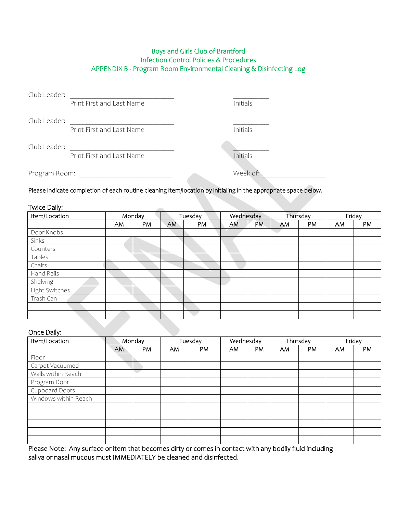## Boys and Girls Club of Brantford Infection Control Policies & Procedures APPENDIX B - Program Room Environmental Cleaning & Disinfecting Log

| Club Leader:  |                           |          |
|---------------|---------------------------|----------|
|               | Print First and Last Name | Initials |
| Club Leader:  |                           |          |
|               | Print First and Last Name | Initials |
| Club Leader:  |                           |          |
|               | Print First and Last Name | Initials |
| Program Room: |                           | Week of: |

Please indicate completion of each routine cleaning item/location by initialing in the appropriate space below.

#### Twice Daily:

| Item/Location  |    | Monday |           | Tuesday | Wednesday |           |    | Thursday |     | Friday |
|----------------|----|--------|-----------|---------|-----------|-----------|----|----------|-----|--------|
|                | AM | PM     | <b>AM</b> | PM      | AM.       | <b>PM</b> | AM | PM       | AM. | PM     |
| Door Knobs     |    |        |           |         |           |           |    |          |     |        |
| Sinks          |    |        |           |         |           |           |    |          |     |        |
| Counters       |    |        |           |         |           |           |    |          |     |        |
| Tables         |    |        |           |         |           |           |    |          |     |        |
| Chairs         |    |        |           |         |           |           |    |          |     |        |
| Hand Rails     |    |        |           |         |           |           |    |          |     |        |
| Shelving       |    |        |           |         |           |           |    |          |     |        |
| Light Switches |    |        |           |         |           |           |    |          |     |        |
| Trash Can      |    |        |           |         |           |           |    |          |     |        |
|                |    |        |           |         |           |           |    |          |     |        |
|                |    |        |           |         |           |           |    |          |     |        |

## Once Daily:

| Item/Location        | Monday |    | Tuesday |    | Wednesday |    | Thursday |    | Friday |    |
|----------------------|--------|----|---------|----|-----------|----|----------|----|--------|----|
|                      | AM     | PM | AM.     | PM | AM.       | PM | AM       | PM | AM     | PM |
| Floor                |        |    |         |    |           |    |          |    |        |    |
| Carpet Vacuumed      |        |    |         |    |           |    |          |    |        |    |
| Walls within Reach   |        |    |         |    |           |    |          |    |        |    |
| Program Door         |        |    |         |    |           |    |          |    |        |    |
| Cupboard Doors       |        |    |         |    |           |    |          |    |        |    |
| Windows within Reach |        |    |         |    |           |    |          |    |        |    |
|                      |        |    |         |    |           |    |          |    |        |    |
|                      |        |    |         |    |           |    |          |    |        |    |
|                      |        |    |         |    |           |    |          |    |        |    |
|                      |        |    |         |    |           |    |          |    |        |    |
|                      |        |    |         |    |           |    |          |    |        |    |

Please Note: Any surface or item that becomes dirty or comes in contact with any bodily fluid including saliva or nasal mucous must IMMEDIATELY be cleaned and disinfected.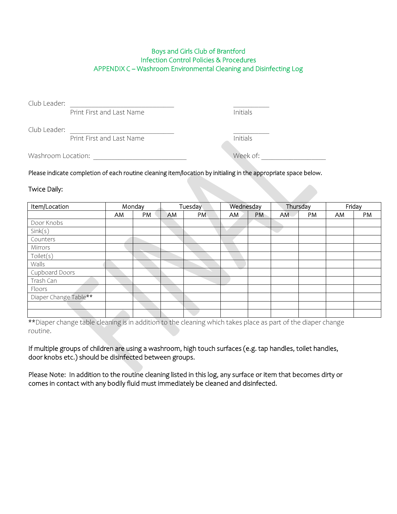#### Boys and Girls Club of Brantford Infection Control Policies & Procedures APPENDIX C – Washroom Environmental Cleaning and Disinfecting Log

Club Leader:

**Print First and Last Name** Initials

Club Leader:

Print First and Last Name Initials

Washroom Location: where we have a set of week of:

Please indicate completion of each routine cleaning item/location by initialing in the appropriate space below.

Twice Daily:

| Item/Location         |    | Monday | Tuesday |    | Wednesday |    |     | Thursday |     | Friday |
|-----------------------|----|--------|---------|----|-----------|----|-----|----------|-----|--------|
|                       | AM | PM     | AM      | PM | AM        | PM | AM. | PM       | AM. | PM     |
| Door Knobs            |    |        |         |    |           |    |     |          |     |        |
| Sink(s)               |    |        |         |    |           |    |     |          |     |        |
| Counters              |    |        |         |    |           |    |     |          |     |        |
| Mirrors               |    |        |         |    |           |    |     |          |     |        |
| Toilet(s)             |    |        |         |    |           |    |     |          |     |        |
| Walls                 |    |        |         |    |           |    |     |          |     |        |
| Cupboard Doors        |    |        |         |    |           |    |     |          |     |        |
| Trash Can             |    |        |         |    |           |    |     |          |     |        |
| Floors                |    |        |         |    |           |    |     |          |     |        |
| Diaper Change Table** |    |        |         |    |           |    |     |          |     |        |
|                       |    |        |         |    |           |    |     |          |     |        |
|                       |    |        |         |    |           |    |     |          |     |        |

\*\*Diaper change table cleaning is in addition to the cleaning which takes place as part of the diaper change routine.

If multiple groups of children are using a washroom, high touch surfaces (e.g. tap handles, toilet handles, door knobs etc.) should be disinfected between groups.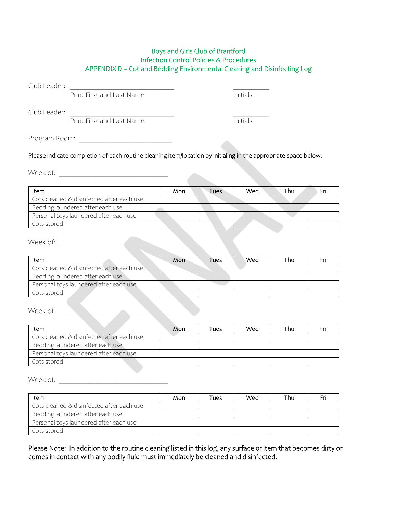#### Boys and Girls Club of Brantford Infection Control Policies & Procedures APPENDIX D – Cot and Bedding Environmental Cleaning and Disinfecting Log

Club Leader:

**Print First and Last Name** Initials

Club Leader: \_\_\_\_\_\_\_\_\_\_\_\_\_\_\_\_\_\_\_\_\_\_\_\_\_\_\_\_\_ \_\_\_\_\_\_\_\_\_\_

Print First and Last Name Initials

Program Room: \_\_\_\_\_\_\_\_\_\_\_\_\_\_\_\_\_\_\_\_\_\_\_\_\_\_

#### Please indicate completion of each routine cleaning item/location by initialing in the appropriate space below.

Week of: \_\_\_\_\_\_\_\_\_\_\_\_\_\_\_\_\_\_\_\_\_\_\_\_\_\_\_\_\_

| Item                                      | Mon | Tues | Wed | Thu |  |
|-------------------------------------------|-----|------|-----|-----|--|
| Cots cleaned & disinfected after each use |     |      |     |     |  |
| Bedding laundered after each use          |     |      |     |     |  |
| Personal toys laundered after each use    |     |      |     |     |  |
| Cots stored                               |     |      |     |     |  |

Week of:

| Item                                      | Mon | Tues | Wed | Thu |  |
|-------------------------------------------|-----|------|-----|-----|--|
| Cots cleaned & disinfected after each use |     |      |     |     |  |
| Bedding laundered after each use          |     |      |     |     |  |
| Personal toys laundered after each use    |     |      |     |     |  |
| Cots stored                               |     |      |     |     |  |

Week of:

| ltem                                      | Mon | Tues | Wed | Thu |  |
|-------------------------------------------|-----|------|-----|-----|--|
| Cots cleaned & disinfected after each use |     |      |     |     |  |
| Bedding laundered after each use          |     |      |     |     |  |
| Personal toys laundered after each use    |     |      |     |     |  |
| Cots stored                               |     |      |     |     |  |

Week of:

| ltem                                      | Mon | Tues | Wed | Thu | Fn |
|-------------------------------------------|-----|------|-----|-----|----|
| Cots cleaned & disinfected after each use |     |      |     |     |    |
| Bedding laundered after each use          |     |      |     |     |    |
| Personal toys laundered after each use    |     |      |     |     |    |
| Cots stored                               |     |      |     |     |    |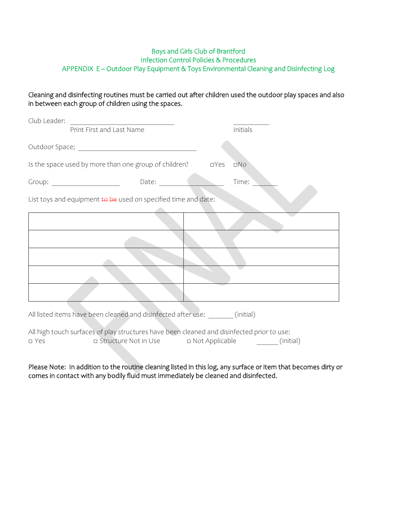#### Boys and Girls Club of Brantford Infection Control Policies & Procedures APPENDIX E – Outdoor Play Equipment & Toys Environmental Cleaning and Disinfecting Log

Cleaning and disinfecting routines must be carried out after children used the outdoor play spaces and also in between each group of children using the spaces.

| Club Leader:                                                   |                                                                                                                                                                                                                                |            |          |  |  |  |  |  |  |
|----------------------------------------------------------------|--------------------------------------------------------------------------------------------------------------------------------------------------------------------------------------------------------------------------------|------------|----------|--|--|--|--|--|--|
|                                                                | Print First and Last Name                                                                                                                                                                                                      |            | Initials |  |  |  |  |  |  |
|                                                                |                                                                                                                                                                                                                                |            |          |  |  |  |  |  |  |
|                                                                | Is the space used by more than one group of children?                                                                                                                                                                          | $\Box$ Yes | DNO      |  |  |  |  |  |  |
|                                                                | Date: a contract of the contract of the contract of the contract of the contract of the contract of the contract of the contract of the contract of the contract of the contract of the contract of the contract of the contra |            | Time:    |  |  |  |  |  |  |
| List toys and equipment to be used on specified time and date: |                                                                                                                                                                                                                                |            |          |  |  |  |  |  |  |
|                                                                |                                                                                                                                                                                                                                |            |          |  |  |  |  |  |  |
|                                                                |                                                                                                                                                                                                                                |            |          |  |  |  |  |  |  |
|                                                                |                                                                                                                                                                                                                                |            |          |  |  |  |  |  |  |
|                                                                |                                                                                                                                                                                                                                |            |          |  |  |  |  |  |  |
|                                                                |                                                                                                                                                                                                                                |            |          |  |  |  |  |  |  |
|                                                                | All listed items have been cleaned and disinfected after use: (initial)                                                                                                                                                        |            |          |  |  |  |  |  |  |
|                                                                | All high touch surfaces of play structures have been cleaned and disinfected prior to use:                                                                                                                                     |            |          |  |  |  |  |  |  |

□ Yes □ Structure Not in Use □ Not Applicable (initial)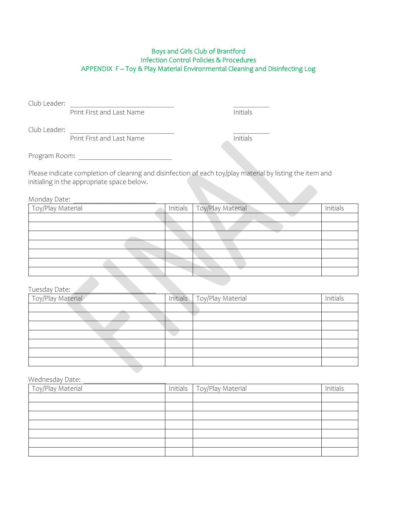## Boys and Girls Club of Brantford Infection Control Policies & Procedures APPENDIX F – Toy & Play Material Environmental Cleaning and Disinfecting Log

Club Leader:

**Print First and Last Name** Initials

Club Leader:

Print First and Last Name

Program Room:  $\blacksquare$ 

Please indicate completion of cleaning and disinfection of each toy/play material by listing the item and initialing in the appropriate space below.

Monday Date:

| Toy/Play Material |  | Initials   Toy/Play Material | Initials |
|-------------------|--|------------------------------|----------|
|                   |  |                              |          |
|                   |  |                              |          |
|                   |  |                              |          |
|                   |  |                              |          |
|                   |  |                              |          |
|                   |  |                              |          |
|                   |  |                              |          |

#### Tuesday Date:

| Toy/Play Material | Initials   Toy/Play Material | Initials |
|-------------------|------------------------------|----------|
|                   |                              |          |
|                   |                              |          |
|                   |                              |          |
|                   |                              |          |
|                   |                              |          |
|                   |                              |          |
|                   |                              |          |

Wednesday Date:

| Toy/Play Material | Initials   Toy/Play Material | Initials |
|-------------------|------------------------------|----------|
|                   |                              |          |
|                   |                              |          |
|                   |                              |          |
|                   |                              |          |
|                   |                              |          |
|                   |                              |          |
|                   |                              |          |